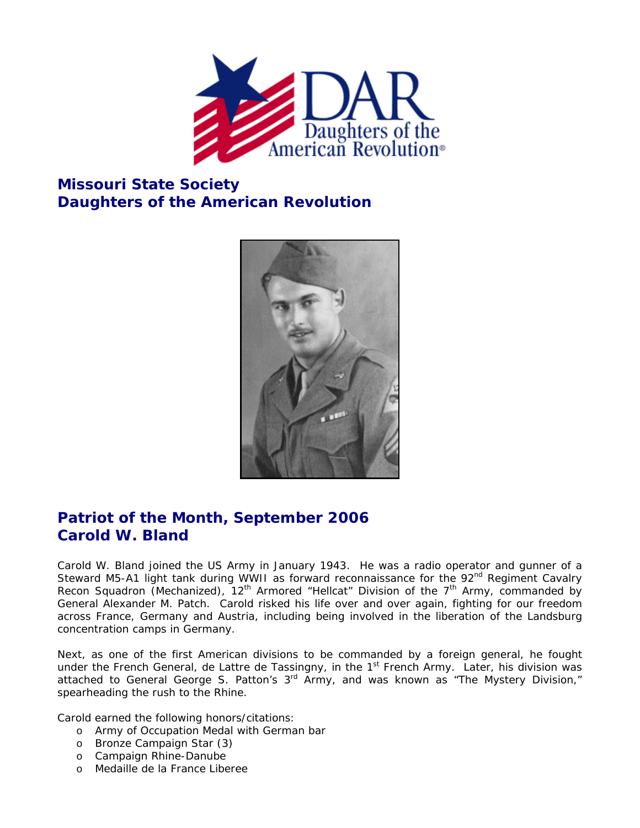

## **Missouri State Society Daughters of the American Revolution**



## **Patriot of the Month, September 2006 Carold W. Bland**

Carold W. Bland joined the US Army in January 1943. He was a radio operator and gunner of a Steward M5-A1 light tank during WWII as forward reconnaissance for the 92<sup>nd</sup> Regiment Cavalry Recon Squadron (Mechanized),  $12<sup>th</sup>$  Armored "Hellcat" Division of the  $7<sup>th</sup>$  Army, commanded by General Alexander M. Patch. Carold risked his life over and over again, fighting for our freedom across France, Germany and Austria, including being involved in the liberation of the Landsburg concentration camps in Germany.

Next, as one of the first American divisions to be commanded by a foreign general, he fought under the French General, de Lattre de Tassingny, in the 1<sup>st</sup> French Army. Later, his division was attached to General George S. Patton's 3rd Army, and was known as "The Mystery Division," spearheading the rush to the Rhine.

Carold earned the following honors/citations:

- o Army of Occupation Medal with German bar
- o Bronze Campaign Star (3)
- o Campaign Rhine-Danube
- o Medaille de la France Liberee